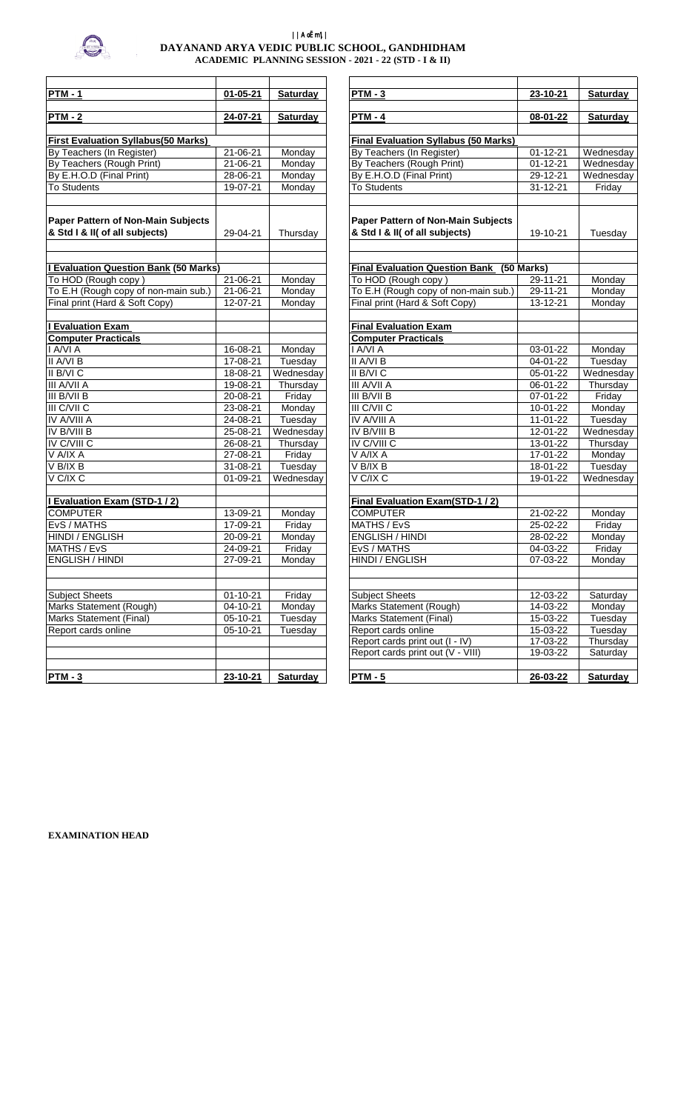

## ||AoËm\|| **DAYANAND ARYA VEDIC PUBLIC SCHOOL, GANDHIDHAM ACADEMIC PLANNING SESSION - 2021 - 22 (STD - I & II)**

| $PTM - 1$                                                            | $01 - 05 - 21$ | <b>Saturday</b> | <b>PTM - 3</b>                                                       | 23-10-21       | <b>Saturday</b>                 |
|----------------------------------------------------------------------|----------------|-----------------|----------------------------------------------------------------------|----------------|---------------------------------|
|                                                                      |                |                 |                                                                      |                |                                 |
| <b>PTM - 2</b>                                                       | 24-07-21       | <b>Saturday</b> | <b>PTM - 4</b>                                                       | 08-01-22       | <b>Saturday</b>                 |
| <b>First Evaluation Syllabus(50 Marks)</b>                           |                |                 | <b>Final Evaluation Syllabus (50 Marks)</b>                          |                |                                 |
| By Teachers (In Register)                                            | $21 - 06 - 21$ | Monday          | By Teachers (In Register)                                            | $01 - 12 - 21$ | Wednesda                        |
| By Teachers (Rough Print)                                            | 21-06-21       | Monday          | By Teachers (Rough Print)                                            | $01 - 12 - 21$ | Wednesda                        |
| By E.H.O.D (Final Print)                                             | 28-06-21       | Monday          | By E.H.O.D (Final Print)                                             | 29-12-21       | Wednesda                        |
| <b>To Students</b>                                                   | 19-07-21       | Monday          | <b>To Students</b>                                                   | $31 - 12 - 21$ | Friday                          |
| Paper Pattern of Non-Main Subjects<br>& Std I & II( of all subjects) | 29-04-21       | Thursday        | Paper Pattern of Non-Main Subjects<br>& Std I & II( of all subjects) | 19-10-21       | Tuesday                         |
| <b>I Evaluation Question Bank (50 Marks)</b>                         |                |                 | <b>Final Evaluation Question Bank (50 Marks)</b>                     |                |                                 |
| To HOD (Rough copy)                                                  | $21 - 06 - 21$ | Monday          | To HOD (Rough copy)                                                  | 29-11-21       | Monday                          |
| To E.H (Rough copy of non-main sub.)                                 | 21-06-21       | Monday          | To E.H (Rough copy of non-main sub.)                                 | $29 - 11 - 21$ | Monday                          |
| Final print (Hard & Soft Copy)                                       | 12-07-21       | Monday          | Final print (Hard & Soft Copy)                                       | $13 - 12 - 21$ | Monday                          |
| <b>I Evaluation Exam</b>                                             |                |                 | <b>Final Evaluation Exam</b>                                         |                |                                 |
| <b>Computer Practicals</b>                                           |                |                 | <b>Computer Practicals</b>                                           |                |                                 |
| I A/VI A                                                             | 16-08-21       | Monday          | I A/VI A                                                             | 03-01-22       | Monday                          |
| II A/VI B                                                            | 17-08-21       | Tuesday         | II A/VI B                                                            | 04-01-22       | Tuesday                         |
| II B/VI C                                                            | 18-08-21       | Wednesday       | II B/VI C                                                            | $05 - 01 - 22$ | Wednesda                        |
| III A/VII A                                                          | 19-08-21       | Thursday        | III A/VII A                                                          | 06-01-22       | Thursday                        |
| III B/VII B                                                          | $20 - 08 - 21$ | Friday          | III B/VII B                                                          | $07-01-22$     | Friday                          |
| III C/VII C                                                          | 23-08-21       | Monday          | III C/VII C                                                          | 10-01-22       | Monday                          |
| <b>IV A/VIII A</b>                                                   | 24-08-21       | Tuesday         | <b>IV A/VIII A</b>                                                   | $11-01-22$     | Tuesday                         |
| <b>IV B/VIII B</b>                                                   | 25-08-21       | Wednesday       | IV B/VIII B                                                          | 12-01-22       | Wednesda                        |
| IV C/VIII C                                                          | 26-08-21       | Thursday        | <b>IV C/VIII C</b>                                                   | 13-01-22       | Thursday                        |
| V A/IX A                                                             | 27-08-21       | Friday          | V A/IX A                                                             | 17-01-22       | Monday                          |
| V B/IX B                                                             | $31 - 08 - 21$ | Tuesday         | V B/IX B                                                             | 18-01-22       | Tuesday                         |
| V C/IX C                                                             | 01-09-21       | Wednesday       | V C/IX C                                                             | 19-01-22       | $\overline{\mathsf{W}}$ ednesda |
| I Evaluation Exam (STD-1 / 2)                                        |                |                 | Final Evaluation Exam(STD-1 / 2)                                     |                |                                 |
| <b>COMPUTER</b>                                                      | 13-09-21       | Monday          | <b>COMPUTER</b>                                                      | 21-02-22       | Monday                          |
| EvS / MATHS                                                          | 17-09-21       | Friday          | MATHS / EvS                                                          | 25-02-22       | Friday                          |
| HINDI / ENGLISH                                                      | 20-09-21       | Monday          | <b>ENGLISH / HINDI</b>                                               | 28-02-22       | Monday                          |
| MATHS / EvS                                                          | 24-09-21       | Friday          | EvS / MATHS                                                          | 04-03-22       | Friday                          |
| <b>ENGLISH / HINDI</b>                                               | 27-09-21       | Monday          | <b>HINDI / ENGLISH</b>                                               | $07 - 03 - 22$ | Monday                          |
| <b>Subject Sheets</b>                                                | $01 - 10 - 21$ | Friday          | <b>Subject Sheets</b>                                                | 12-03-22       | Saturday                        |
| Marks Statement (Rough)                                              | 04-10-21       | Monday          | Marks Statement (Rough)                                              | 14-03-22       | Monday                          |
| Marks Statement (Final)                                              | 05-10-21       | Tuesday         | Marks Statement (Final)                                              | 15-03-22       | Tuesday                         |
| Report cards online                                                  | 05-10-21       | Tuesday         | Report cards online                                                  | 15-03-22       | Tuesday                         |
|                                                                      |                |                 | Report cards print out (I - IV)                                      | 17-03-22       | Thursday                        |
|                                                                      |                |                 | Report cards print out (V - VIII)                                    | 19-03-22       | Saturday                        |
| <b>PTM - 3</b>                                                       | $23 - 10 - 21$ | <b>Saturday</b> | $PTM - 5$                                                            | 26-03-22       | Saturday                        |

| $PTM - 3$<br>$01 - 05 - 21$<br><b>Saturday</b><br>23-10-21<br><b>PTM - 4</b><br>24-07-21<br><b>Saturday</b><br>08-01-22<br><b>Final Evaluation Syllabus (50 Marks)</b><br>21-06-21<br>Monday<br>By Teachers (In Register)<br>$01 - 12 - 21$<br>21-06-21<br>Monday<br>By Teachers (Rough Print)<br>$01 - 12 - 21$<br>Monday<br>28-06-21<br>By E.H.O.D (Final Print)<br>29-12-21<br>19-07-21<br>Monday<br><b>To Students</b><br>31-12-21<br>Paper Pattern of Non-Main Subjects<br>& Std I & II( of all subjects)<br>29-04-21<br>Thursday<br>19-10-21<br><b>Final Evaluation Question Bank (50 Marks)</b><br>21-06-21<br>Monday<br>To HOD (Rough copy)<br>29-11-21<br>To E.H (Rough copy of non-main sub.)<br>21-06-21<br>Monday<br>$29 - 11 - 21$<br>12-07-21<br>Monday<br>Final print (Hard & Soft Copy)<br>13-12-21<br><b>Final Evaluation Exam</b><br><b>Computer Practicals</b><br>I A/VI A<br>16-08-21<br>Monday<br>03-01-22<br>17-08-21<br>Tuesday<br>II A/VI B<br>$04 - 01 - 22$<br>Wednesday<br>II B/VI C<br>18-08-21<br>05-01-22<br>19-08-21<br>Thursday<br>III A/VII A<br>06-01-22<br>20-08-21<br>Friday<br>III B/VII B<br>07-01-22<br>Monday<br>III C/VII C<br>23-08-21<br>10-01-22<br><b>IV A/VIII A</b><br>24-08-21<br>Tuesday<br>$11-01-22$<br>IV B/VIII B<br>25-08-21<br>Wednesday<br>12-01-22<br>IV C/VIII C<br>Thursday<br>26-08-21<br>13-01-22<br>27-08-21<br>V A/IX A<br>Friday<br>17-01-22<br>V B/IX B<br>$31 - 08 - 21$<br>Tuesday<br>18-01-22<br>V C/IX C<br>Wednesday<br>01-09-21<br>19-01-22<br><b>Final Evaluation Exam(STD-1/2)</b><br>13-09-21<br>Monday<br>$21 - 02 - 22$<br><b>COMPUTER</b><br>MATHS / EvS<br>17-09-21<br>Friday<br>25-02-22<br>Monday<br><b>ENGLISH / HINDI</b><br>28-02-22<br>20-09-21<br>24-09-21<br>Friday<br>EvS / MATHS<br>04-03-22<br><b>HINDI / ENGLISH</b><br>27-09-21<br>Monday<br>07-03-22 |                                    |  |  |                      |
|--------------------------------------------------------------------------------------------------------------------------------------------------------------------------------------------------------------------------------------------------------------------------------------------------------------------------------------------------------------------------------------------------------------------------------------------------------------------------------------------------------------------------------------------------------------------------------------------------------------------------------------------------------------------------------------------------------------------------------------------------------------------------------------------------------------------------------------------------------------------------------------------------------------------------------------------------------------------------------------------------------------------------------------------------------------------------------------------------------------------------------------------------------------------------------------------------------------------------------------------------------------------------------------------------------------------------------------------------------------------------------------------------------------------------------------------------------------------------------------------------------------------------------------------------------------------------------------------------------------------------------------------------------------------------------------------------------------------------------------------------------------------------------------------------------------------------------------------------|------------------------------------|--|--|----------------------|
| $PTM - 2$<br><b>First Evaluation Syllabus(50 Marks)</b><br>By Teachers (In Register)<br>By Teachers (Rough Print)<br>By E.H.O.D (Final Print)<br><b>To Students</b><br>& Std I & II( of all subjects)                                                                                                                                                                                                                                                                                                                                                                                                                                                                                                                                                                                                                                                                                                                                                                                                                                                                                                                                                                                                                                                                                                                                                                                                                                                                                                                                                                                                                                                                                                                                                                                                                                            | <b>PTM - 1</b>                     |  |  | Saturday             |
|                                                                                                                                                                                                                                                                                                                                                                                                                                                                                                                                                                                                                                                                                                                                                                                                                                                                                                                                                                                                                                                                                                                                                                                                                                                                                                                                                                                                                                                                                                                                                                                                                                                                                                                                                                                                                                                  |                                    |  |  | Saturday             |
|                                                                                                                                                                                                                                                                                                                                                                                                                                                                                                                                                                                                                                                                                                                                                                                                                                                                                                                                                                                                                                                                                                                                                                                                                                                                                                                                                                                                                                                                                                                                                                                                                                                                                                                                                                                                                                                  |                                    |  |  |                      |
|                                                                                                                                                                                                                                                                                                                                                                                                                                                                                                                                                                                                                                                                                                                                                                                                                                                                                                                                                                                                                                                                                                                                                                                                                                                                                                                                                                                                                                                                                                                                                                                                                                                                                                                                                                                                                                                  |                                    |  |  |                      |
|                                                                                                                                                                                                                                                                                                                                                                                                                                                                                                                                                                                                                                                                                                                                                                                                                                                                                                                                                                                                                                                                                                                                                                                                                                                                                                                                                                                                                                                                                                                                                                                                                                                                                                                                                                                                                                                  |                                    |  |  | Wednesday            |
|                                                                                                                                                                                                                                                                                                                                                                                                                                                                                                                                                                                                                                                                                                                                                                                                                                                                                                                                                                                                                                                                                                                                                                                                                                                                                                                                                                                                                                                                                                                                                                                                                                                                                                                                                                                                                                                  |                                    |  |  | Wednesday            |
|                                                                                                                                                                                                                                                                                                                                                                                                                                                                                                                                                                                                                                                                                                                                                                                                                                                                                                                                                                                                                                                                                                                                                                                                                                                                                                                                                                                                                                                                                                                                                                                                                                                                                                                                                                                                                                                  |                                    |  |  | Wednesday            |
|                                                                                                                                                                                                                                                                                                                                                                                                                                                                                                                                                                                                                                                                                                                                                                                                                                                                                                                                                                                                                                                                                                                                                                                                                                                                                                                                                                                                                                                                                                                                                                                                                                                                                                                                                                                                                                                  |                                    |  |  | Friday               |
|                                                                                                                                                                                                                                                                                                                                                                                                                                                                                                                                                                                                                                                                                                                                                                                                                                                                                                                                                                                                                                                                                                                                                                                                                                                                                                                                                                                                                                                                                                                                                                                                                                                                                                                                                                                                                                                  | Paper Pattern of Non-Main Subjects |  |  |                      |
| <u>I Evaluation Question Bank</u> (50 Marks)<br>To HOD (Rough copy)<br>To E.H (Rough copy of non-main sub.)                                                                                                                                                                                                                                                                                                                                                                                                                                                                                                                                                                                                                                                                                                                                                                                                                                                                                                                                                                                                                                                                                                                                                                                                                                                                                                                                                                                                                                                                                                                                                                                                                                                                                                                                      |                                    |  |  | Tuesday              |
|                                                                                                                                                                                                                                                                                                                                                                                                                                                                                                                                                                                                                                                                                                                                                                                                                                                                                                                                                                                                                                                                                                                                                                                                                                                                                                                                                                                                                                                                                                                                                                                                                                                                                                                                                                                                                                                  |                                    |  |  |                      |
|                                                                                                                                                                                                                                                                                                                                                                                                                                                                                                                                                                                                                                                                                                                                                                                                                                                                                                                                                                                                                                                                                                                                                                                                                                                                                                                                                                                                                                                                                                                                                                                                                                                                                                                                                                                                                                                  |                                    |  |  | Monday               |
|                                                                                                                                                                                                                                                                                                                                                                                                                                                                                                                                                                                                                                                                                                                                                                                                                                                                                                                                                                                                                                                                                                                                                                                                                                                                                                                                                                                                                                                                                                                                                                                                                                                                                                                                                                                                                                                  |                                    |  |  | Monday               |
| <b>Evaluation Exam</b><br><b>Computer Practicals</b><br>I A/VI A<br>II A/VI B<br>II B/VI C<br>III A/VII A<br>III B/VII B<br>III C/VII C<br>IV A/VIII A<br>IV B/VIII B<br>IV C/VIII C<br>V A/IX A<br>V B/IX B<br>V C/IX C<br><b>I Evaluation Exam (STD-1 / 2)</b><br><b>COMPUTER</b><br>EvS / MATHS<br>HINDI / ENGLISH<br>MATHS / EvS<br><b>ENGLISH / HINDI</b>                                                                                                                                                                                                                                                                                                                                                                                                                                                                                                                                                                                                                                                                                                                                                                                                                                                                                                                                                                                                                                                                                                                                                                                                                                                                                                                                                                                                                                                                                   | Final print (Hard & Soft Copy)     |  |  | Monday               |
|                                                                                                                                                                                                                                                                                                                                                                                                                                                                                                                                                                                                                                                                                                                                                                                                                                                                                                                                                                                                                                                                                                                                                                                                                                                                                                                                                                                                                                                                                                                                                                                                                                                                                                                                                                                                                                                  |                                    |  |  |                      |
|                                                                                                                                                                                                                                                                                                                                                                                                                                                                                                                                                                                                                                                                                                                                                                                                                                                                                                                                                                                                                                                                                                                                                                                                                                                                                                                                                                                                                                                                                                                                                                                                                                                                                                                                                                                                                                                  |                                    |  |  |                      |
|                                                                                                                                                                                                                                                                                                                                                                                                                                                                                                                                                                                                                                                                                                                                                                                                                                                                                                                                                                                                                                                                                                                                                                                                                                                                                                                                                                                                                                                                                                                                                                                                                                                                                                                                                                                                                                                  |                                    |  |  | Monday               |
|                                                                                                                                                                                                                                                                                                                                                                                                                                                                                                                                                                                                                                                                                                                                                                                                                                                                                                                                                                                                                                                                                                                                                                                                                                                                                                                                                                                                                                                                                                                                                                                                                                                                                                                                                                                                                                                  |                                    |  |  | Tuesday              |
|                                                                                                                                                                                                                                                                                                                                                                                                                                                                                                                                                                                                                                                                                                                                                                                                                                                                                                                                                                                                                                                                                                                                                                                                                                                                                                                                                                                                                                                                                                                                                                                                                                                                                                                                                                                                                                                  |                                    |  |  | Wednesday            |
|                                                                                                                                                                                                                                                                                                                                                                                                                                                                                                                                                                                                                                                                                                                                                                                                                                                                                                                                                                                                                                                                                                                                                                                                                                                                                                                                                                                                                                                                                                                                                                                                                                                                                                                                                                                                                                                  |                                    |  |  | Thursday             |
|                                                                                                                                                                                                                                                                                                                                                                                                                                                                                                                                                                                                                                                                                                                                                                                                                                                                                                                                                                                                                                                                                                                                                                                                                                                                                                                                                                                                                                                                                                                                                                                                                                                                                                                                                                                                                                                  |                                    |  |  | Friday               |
|                                                                                                                                                                                                                                                                                                                                                                                                                                                                                                                                                                                                                                                                                                                                                                                                                                                                                                                                                                                                                                                                                                                                                                                                                                                                                                                                                                                                                                                                                                                                                                                                                                                                                                                                                                                                                                                  |                                    |  |  | Monday               |
|                                                                                                                                                                                                                                                                                                                                                                                                                                                                                                                                                                                                                                                                                                                                                                                                                                                                                                                                                                                                                                                                                                                                                                                                                                                                                                                                                                                                                                                                                                                                                                                                                                                                                                                                                                                                                                                  |                                    |  |  | Tuesday              |
|                                                                                                                                                                                                                                                                                                                                                                                                                                                                                                                                                                                                                                                                                                                                                                                                                                                                                                                                                                                                                                                                                                                                                                                                                                                                                                                                                                                                                                                                                                                                                                                                                                                                                                                                                                                                                                                  |                                    |  |  | Wednesday            |
|                                                                                                                                                                                                                                                                                                                                                                                                                                                                                                                                                                                                                                                                                                                                                                                                                                                                                                                                                                                                                                                                                                                                                                                                                                                                                                                                                                                                                                                                                                                                                                                                                                                                                                                                                                                                                                                  |                                    |  |  | Thursday             |
|                                                                                                                                                                                                                                                                                                                                                                                                                                                                                                                                                                                                                                                                                                                                                                                                                                                                                                                                                                                                                                                                                                                                                                                                                                                                                                                                                                                                                                                                                                                                                                                                                                                                                                                                                                                                                                                  |                                    |  |  | Monday               |
|                                                                                                                                                                                                                                                                                                                                                                                                                                                                                                                                                                                                                                                                                                                                                                                                                                                                                                                                                                                                                                                                                                                                                                                                                                                                                                                                                                                                                                                                                                                                                                                                                                                                                                                                                                                                                                                  |                                    |  |  | Tuesday              |
|                                                                                                                                                                                                                                                                                                                                                                                                                                                                                                                                                                                                                                                                                                                                                                                                                                                                                                                                                                                                                                                                                                                                                                                                                                                                                                                                                                                                                                                                                                                                                                                                                                                                                                                                                                                                                                                  |                                    |  |  | Wednesday            |
|                                                                                                                                                                                                                                                                                                                                                                                                                                                                                                                                                                                                                                                                                                                                                                                                                                                                                                                                                                                                                                                                                                                                                                                                                                                                                                                                                                                                                                                                                                                                                                                                                                                                                                                                                                                                                                                  |                                    |  |  |                      |
|                                                                                                                                                                                                                                                                                                                                                                                                                                                                                                                                                                                                                                                                                                                                                                                                                                                                                                                                                                                                                                                                                                                                                                                                                                                                                                                                                                                                                                                                                                                                                                                                                                                                                                                                                                                                                                                  |                                    |  |  | Monday               |
|                                                                                                                                                                                                                                                                                                                                                                                                                                                                                                                                                                                                                                                                                                                                                                                                                                                                                                                                                                                                                                                                                                                                                                                                                                                                                                                                                                                                                                                                                                                                                                                                                                                                                                                                                                                                                                                  |                                    |  |  | Friday               |
|                                                                                                                                                                                                                                                                                                                                                                                                                                                                                                                                                                                                                                                                                                                                                                                                                                                                                                                                                                                                                                                                                                                                                                                                                                                                                                                                                                                                                                                                                                                                                                                                                                                                                                                                                                                                                                                  |                                    |  |  | Monday               |
|                                                                                                                                                                                                                                                                                                                                                                                                                                                                                                                                                                                                                                                                                                                                                                                                                                                                                                                                                                                                                                                                                                                                                                                                                                                                                                                                                                                                                                                                                                                                                                                                                                                                                                                                                                                                                                                  |                                    |  |  | Friday               |
|                                                                                                                                                                                                                                                                                                                                                                                                                                                                                                                                                                                                                                                                                                                                                                                                                                                                                                                                                                                                                                                                                                                                                                                                                                                                                                                                                                                                                                                                                                                                                                                                                                                                                                                                                                                                                                                  |                                    |  |  | Monday               |
| <b>Subject Sheets</b><br>$01 - 10 - 21$<br>Friday<br><b>Subject Sheets</b>                                                                                                                                                                                                                                                                                                                                                                                                                                                                                                                                                                                                                                                                                                                                                                                                                                                                                                                                                                                                                                                                                                                                                                                                                                                                                                                                                                                                                                                                                                                                                                                                                                                                                                                                                                       |                                    |  |  | Saturday             |
| 12-03-22<br>14-03-22                                                                                                                                                                                                                                                                                                                                                                                                                                                                                                                                                                                                                                                                                                                                                                                                                                                                                                                                                                                                                                                                                                                                                                                                                                                                                                                                                                                                                                                                                                                                                                                                                                                                                                                                                                                                                             |                                    |  |  |                      |
| 04-10-21<br>Monday<br>Marks Statement (Rough)<br>Marks Statement (Rough)                                                                                                                                                                                                                                                                                                                                                                                                                                                                                                                                                                                                                                                                                                                                                                                                                                                                                                                                                                                                                                                                                                                                                                                                                                                                                                                                                                                                                                                                                                                                                                                                                                                                                                                                                                         |                                    |  |  | Monday               |
| 05-10-21<br>Marks Statement (Final)<br>Tuesday<br>Marks Statement (Final)<br>15-03-22                                                                                                                                                                                                                                                                                                                                                                                                                                                                                                                                                                                                                                                                                                                                                                                                                                                                                                                                                                                                                                                                                                                                                                                                                                                                                                                                                                                                                                                                                                                                                                                                                                                                                                                                                            |                                    |  |  | Tuesday              |
| Report cards online<br>05-10-21<br>Tuesday<br>Report cards online<br>15-03-22                                                                                                                                                                                                                                                                                                                                                                                                                                                                                                                                                                                                                                                                                                                                                                                                                                                                                                                                                                                                                                                                                                                                                                                                                                                                                                                                                                                                                                                                                                                                                                                                                                                                                                                                                                    |                                    |  |  | Tuesday              |
| Report cards print out (I - IV)<br>17-03-22<br>Report cards print out (V - VIII)<br>19-03-22                                                                                                                                                                                                                                                                                                                                                                                                                                                                                                                                                                                                                                                                                                                                                                                                                                                                                                                                                                                                                                                                                                                                                                                                                                                                                                                                                                                                                                                                                                                                                                                                                                                                                                                                                     |                                    |  |  | Thursday<br>Saturday |
| <b>Saturdav</b><br><b>PTM - 5</b><br><b>PTM - 3</b><br>23-10-21<br>26-03-22                                                                                                                                                                                                                                                                                                                                                                                                                                                                                                                                                                                                                                                                                                                                                                                                                                                                                                                                                                                                                                                                                                                                                                                                                                                                                                                                                                                                                                                                                                                                                                                                                                                                                                                                                                      |                                    |  |  | Saturday             |

**EXAMINATION HEAD**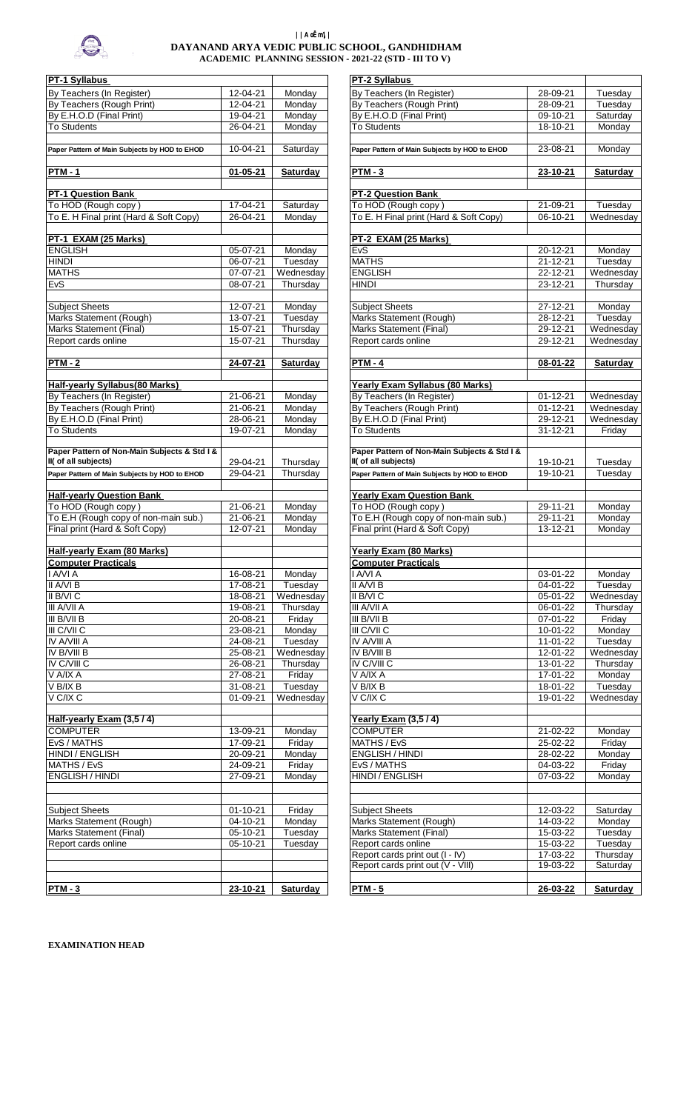

## ||AoËm\|| **DAYANAND ARYA VEDIC PUBLIC SCHOOL, GANDHIDHAM ACADEMIC PLANNING SESSION - 2021-22 (STD - III TO V)**

| PT-1 Syllabus                                                          |                                  |                      | PT-2 Syllabus                                                          |                            |                    |
|------------------------------------------------------------------------|----------------------------------|----------------------|------------------------------------------------------------------------|----------------------------|--------------------|
| By Teachers (In Register)                                              | 12-04-21                         | Monday               | By Teachers (In Register)                                              | 28-09-21                   | Tuesday            |
| By Teachers (Rough Print)                                              | 12-04-21                         | Monday               | By Teachers (Rough Print)                                              | 28-09-21                   | Tuesday            |
| By E.H.O.D (Final Print)                                               | 19-04-21                         | Monday               | By E.H.O.D (Final Print)                                               | 09-10-21                   | Saturday           |
| <b>To Students</b>                                                     | 26-04-21                         | Monday               | <b>To Students</b>                                                     | 18-10-21                   | Monday             |
| Paper Pattern of Main Subjects by HOD to EHOD                          | 10-04-21                         | Saturday             | Paper Pattern of Main Subjects by HOD to EHOD                          | 23-08-21                   | Monday             |
|                                                                        |                                  |                      |                                                                        |                            |                    |
| <b>PTM-1</b>                                                           | $01 - 05 - 21$                   | <b>Saturday</b>      | $PTM - 3$                                                              | 23-10-21                   | <b>Saturda</b>     |
| PT-1 Question Bank                                                     |                                  |                      | <b>PT-2 Question Bank</b>                                              |                            |                    |
| To HOD (Rough copy)                                                    | $17 - 04 - 21$                   | Saturday             | To HOD (Rough copy)                                                    | 21-09-21                   | Tuesday            |
| To E. H Final print (Hard & Soft Copy)                                 | 26-04-21                         | Monday               | To E. H Final print (Hard & Soft Copy)                                 | 06-10-21                   | Wednesd            |
|                                                                        |                                  |                      |                                                                        |                            |                    |
| PT-1 EXAM (25 Marks)                                                   |                                  |                      | PT-2 EXAM (25 Marks)                                                   |                            |                    |
| <b>ENGLISH</b>                                                         | 05-07-21                         | Monday               | <b>EvS</b>                                                             | 20-12-21                   | Monday             |
| <b>HINDI</b><br><b>MATHS</b>                                           | 06-07-21<br>$07-07-21$           | Tuesday<br>Wednesday | <b>MATHS</b><br><b>ENGLISH</b>                                         | $21 - 12 - 21$<br>22-12-21 | Tuesday<br>Wednesd |
| EvS                                                                    | 08-07-21                         | Thursday             | <b>HINDI</b>                                                           | 23-12-21                   | Thursda            |
|                                                                        |                                  |                      |                                                                        |                            |                    |
| <b>Subject Sheets</b>                                                  | $12 - 07 - 21$                   | Monday               | <b>Subject Sheets</b>                                                  | 27-12-21                   | Monday             |
| Marks Statement (Rough)                                                | 13-07-21                         | Tuesday              | Marks Statement (Rough)                                                | 28-12-21                   | Tuesday            |
| <b>Marks Statement (Final)</b>                                         | 15-07-21                         | Thursday             | Marks Statement (Final)                                                | $29 - 12 - 21$             | Wednesd            |
| Report cards online                                                    | 15-07-21                         | Thursday             | Report cards online                                                    | 29-12-21                   | Wednesd            |
| $PTM - 2$                                                              | 24-07-21                         | <b>Saturday</b>      | $PTM - 4$                                                              | 08-01-22                   | Saturday           |
|                                                                        |                                  |                      |                                                                        |                            |                    |
| <b>Half-yearly Syllabus(80 Marks)</b>                                  |                                  |                      | <b>Yearly Exam Syllabus (80 Marks)</b>                                 |                            |                    |
| By Teachers (In Register)                                              | 21-06-21                         | Monday               | By Teachers (In Register)                                              | $01 - 12 - 21$             | Wednesd            |
| By Teachers (Rough Print)                                              | $21 - 06 - 21$                   | Monday               | By Teachers (Rough Print)                                              | $01 - 12 - 21$             | Wednesd            |
| By E.H.O.D (Final Print)                                               | 28-06-21                         | Monday               | By E.H.O.D (Final Print)                                               | 29-12-21                   | Wednesd            |
| <b>To Students</b>                                                     | 19-07-21                         | Monday               | <b>To Students</b>                                                     | $31 - 12 - 21$             | Friday             |
| Paper Pattern of Non-Main Subjects & Std I &                           |                                  |                      | Paper Pattern of Non-Main Subjects & Std I &                           |                            |                    |
| II( of all subjects)                                                   | 29-04-21                         | Thursday             | II( of all subjects)                                                   | 19-10-21                   | Tuesday            |
| Paper Pattern of Main Subjects by HOD to EHOD                          | 29-04-21                         | Thursday             | Paper Pattern of Main Subjects by HOD to EHOD                          | 19-10-21                   | Tuesday            |
|                                                                        |                                  |                      |                                                                        |                            |                    |
| <b>Half-yearly Question Bank</b>                                       |                                  |                      | <b>Yearly Exam Question Bank</b>                                       |                            |                    |
| To HOD (Rough copy)                                                    | $21 - 06 - 21$                   | Monday               | To HOD (Rough copy)                                                    | 29-11-21                   | Monday             |
| To E.H (Rough copy of non-main sub.)<br>Final print (Hard & Soft Copy) | 21-06-21                         | Monday<br>Monday     | To E.H (Rough copy of non-main sub.)<br>Final print (Hard & Soft Copy) | 29-11-21<br>13-12-21       | Monday             |
|                                                                        | 12-07-21                         |                      |                                                                        |                            | Monday             |
| <b>Half-yearly Exam (80 Marks)</b>                                     |                                  |                      | Yearly Exam (80 Marks)                                                 |                            |                    |
| <b>Computer Practicals</b>                                             |                                  |                      | <b>Computer Practicals</b>                                             |                            |                    |
| I A/VI A                                                               | 16-08-21                         | Monday               | I A/VI A                                                               | 03-01-22                   | Monday             |
| II A/VI B                                                              | 17-08-21                         | Tuesday              | II A/VI B                                                              | 04-01-22                   | Tuesday            |
| II B/VI C                                                              | 18-08-21                         | Wednesday            | II B/VI C                                                              | 05-01-22                   | Wednesd            |
| <b>III A/VII A</b>                                                     | 19-08-21                         | Thursday             | III A/VII A                                                            | 06-01-22                   | Thursda            |
| III B/VII B<br>III C/VII C                                             | $20 - 08 - 21$                   | Friday               | III B/VII B<br>III C/VII C                                             | $07 - 01 - 22$             | Friday             |
| IV A/VIII A                                                            | 23-08-21<br>24-08-21             | Monday<br>Tuesday    | IV A/VIII A                                                            | $10-01-22$<br>11-01-22     | Monday<br>Tuesday  |
| IV B/VIII B                                                            | 25-08-21                         | Wednesday            | IV B/VIII B                                                            | 12-01-22                   | Wednesd            |
| <b>IV C/VIII C</b>                                                     | 26-08-21                         | Thursday             | <b>IV C/VIII C</b>                                                     | 13-01-22                   | Thursda            |
| V A/IX A                                                               | $27 - 08 - 21$                   | Friday               | V A/IX A                                                               | $17 - 01 - 22$             | Monday             |
| V B/IX B                                                               | $31 - 08 - 21$                   | Tuesday              | V B/IX B                                                               | 18-01-22                   | Tuesday            |
| V C/IX C                                                               | $01-09-21$                       | Wednesday            | V C/IX C                                                               | $19-01-22$                 | Wednesd            |
|                                                                        |                                  |                      |                                                                        |                            |                    |
| Half-yearly Exam (3,5 / 4)<br><b>COMPUTER</b>                          | 13-09-21                         | Monday               | Yearly Exam (3,5 / 4)<br><b>COMPUTER</b>                               | 21-02-22                   | Monday             |
| EvS / MATHS                                                            | 17-09-21                         | Friday               | MATHS / EvS                                                            | 25-02-22                   | Friday             |
| <b>HINDI / ENGLISH</b>                                                 | 20-09-21                         | Monday               | <b>ENGLISH / HINDI</b>                                                 | 28-02-22                   | Monday             |
| MATHS / EvS                                                            | 24-09-21                         | Friday               | EvS / MATHS                                                            | 04-03-22                   | Friday             |
| <b>ENGLISH / HINDI</b>                                                 | 27-09-21                         | Monday               | <b>HINDI / ENGLISH</b>                                                 | 07-03-22                   | Monday             |
|                                                                        |                                  |                      |                                                                        |                            |                    |
|                                                                        |                                  |                      |                                                                        |                            |                    |
| <b>Subject Sheets</b>                                                  | $01 - 10 - 21$<br>$04 - 10 - 21$ | Friday<br>Monday     | <b>Subject Sheets</b>                                                  | 12-03-22<br>14-03-22       | Saturday           |
| Marks Statement (Rough)<br>Marks Statement (Final)                     | 05-10-21                         | Tuesday              | Marks Statement (Rough)<br><b>Marks Statement (Final)</b>              | 15-03-22                   | Monday<br>Tuesday  |
| Report cards online                                                    | 05-10-21                         | Tuesday              | Report cards online                                                    | 15-03-22                   | Tuesday            |
|                                                                        |                                  |                      | Report cards print out (I - IV)                                        | 17-03-22                   | Thursday           |
|                                                                        |                                  |                      | Report cards print out (V - VIII)                                      | 19-03-22                   | Saturday           |
|                                                                        |                                  |                      |                                                                        |                            |                    |
| $PTM - 3$                                                              | 23-10-21                         | Saturday             | $PTM - 5$                                                              | 26-03-22                   | Saturday           |

| PT-1 Syllabus                                 |                |           | PT-2 Syllabus                                 |                |                 |
|-----------------------------------------------|----------------|-----------|-----------------------------------------------|----------------|-----------------|
|                                               |                |           |                                               |                |                 |
| By Teachers (In Register)                     | 12-04-21       | Monday    | By Teachers (In Register)                     | 28-09-21       | Tuesday         |
| By Teachers (Rough Print)                     | $12 - 04 - 21$ | Monday    | By Teachers (Rough Print)                     | 28-09-21       | Tuesday         |
| By E.H.O.D (Final Print)                      | 19-04-21       | Monday    | By E.H.O.D (Final Print)                      | 09-10-21       | Saturday        |
| <b>To Students</b>                            | 26-04-21       | Monday    | <b>To Students</b>                            | 18-10-21       | Monday          |
|                                               |                |           |                                               |                |                 |
| Paper Pattern of Main Subjects by HOD to EHOD | 10-04-21       | Saturday  | Paper Pattern of Main Subjects by HOD to EHOD | 23-08-21       | Monday          |
|                                               |                |           |                                               |                |                 |
| <b>PTM - 1</b>                                | 01-05-21       | Saturday  | <b>PTM-3</b>                                  | 23-10-21       | Saturday        |
|                                               |                |           |                                               |                |                 |
| PT-1 Question Bank                            |                |           | <b>PT-2 Question Bank</b>                     |                |                 |
| To HOD (Rough copy)                           | $17 - 04 - 21$ | Saturday  | To HOD (Rough copy)                           | 21-09-21       | Tuesday         |
| To E. H Final print (Hard & Soft Copy)        | 26-04-21       | Monday    | To E. H Final print (Hard & Soft Copy)        | 06-10-21       | Wednesday       |
|                                               |                |           |                                               |                |                 |
| PT-1 EXAM (25 Marks)                          |                |           | PT-2 EXAM (25 Marks)                          |                |                 |
| <b>ENGLISH</b>                                | 05-07-21       | Monday    | EvS                                           | 20-12-21       | Monday          |
| <b>HINDI</b>                                  | $06-07-21$     | Tuesday   | <b>MATHS</b>                                  | $21 - 12 - 21$ | Tuesday         |
| <b>MATHS</b>                                  | 07-07-21       | Wednesday | <b>ENGLISH</b>                                | 22-12-21       | Wednesday       |
|                                               |                |           |                                               |                |                 |
| EvS                                           | 08-07-21       | Thursday  | <b>HINDI</b>                                  | 23-12-21       | Thursday        |
|                                               |                |           |                                               |                |                 |
| <b>Subject Sheets</b>                         | 12-07-21       | Monday    | <b>Subject Sheets</b>                         | 27-12-21       | Monday          |
| Marks Statement (Rough)                       | $13-07-21$     | Tuesday   | Marks Statement (Rough)                       | 28-12-21       | Tuesday         |
| Marks Statement (Final)                       | 15-07-21       | Thursday  | Marks Statement (Final)                       | 29-12-21       | Wednesday       |
| Report cards online                           | 15-07-21       | Thursday  | Report cards online                           | 29-12-21       | Wednesday       |
|                                               |                |           |                                               |                |                 |
| <b>PTM - 2</b>                                | 24-07-21       | Saturday  | <b>PTM - 4</b>                                | 08-01-22       | <b>Saturday</b> |
|                                               |                |           |                                               |                |                 |
| Half-yearly Syllabus(80 Marks)                |                |           | <b>Yearly Exam Syllabus (80 Marks)</b>        |                |                 |
| By Teachers (In Register)                     | 21-06-21       | Monday    | By Teachers (In Register)                     | $01 - 12 - 21$ | Wednesday       |
| By Teachers (Rough Print)                     | 21-06-21       | Monday    | By Teachers (Rough Print)                     | $01 - 12 - 21$ | Wednesday       |
| By E.H.O.D (Final Print)                      | 28-06-21       | Monday    | By E.H.O.D (Final Print)                      | 29-12-21       | Wednesday       |
| <b>To Students</b>                            | 19-07-21       | Monday    | <b>To Students</b>                            | $31 - 12 - 21$ | Friday          |
|                                               |                |           |                                               |                |                 |
| Paper Pattern of Non-Main Subjects & Std I &  |                |           | Paper Pattern of Non-Main Subjects & Std I &  |                |                 |
| II( of all subjects)                          | 29-04-21       | Thursday  | II( of all subjects)                          | 19-10-21       | Tuesday         |
| Paper Pattern of Main Subjects by HOD to EHOD | 29-04-21       | Thursday  | Paper Pattern of Main Subjects by HOD to EHOD | 19-10-21       | Tuesday         |
|                                               |                |           |                                               |                |                 |
|                                               |                |           |                                               |                |                 |
| <b>Half-yearly Question Bank</b>              | $21 - 06 - 21$ |           | <b>Yearly Exam Question Bank</b>              |                |                 |
| To HOD (Rough copy)                           |                | Monday    | To HOD (Rough copy)                           | 29-11-21       | Monday          |
| To E.H (Rough copy of non-main sub.)          | 21-06-21       | Monday    | To E.H (Rough copy of non-main sub.)          | 29-11-21       | Monday          |
| Final print (Hard & Soft Copy)                | 12-07-21       | Monday    | Final print (Hard & Soft Copy)                | 13-12-21       | Monday          |
|                                               |                |           |                                               |                |                 |
| Half-yearly Exam (80 Marks)                   |                |           | <u> Yearly Exam (80 Marks)</u>                |                |                 |
| <b>Computer Practicals</b>                    |                |           | <b>Computer Practicals</b>                    |                |                 |
| I A/VI A                                      | 16-08-21       | Monday    | <b>I A/VI A</b>                               | 03-01-22       | Monday          |
| II A/VI B                                     | 17-08-21       | Tuesday   | II A/VI B                                     | 04-01-22       | Tuesday         |
| II B/VI C                                     | 18-08-21       | Wednesday | II B/VI C                                     | 05-01-22       | Wednesday       |
| III A/VII A                                   | 19-08-21       | Thursday  | <b>III A/VII A</b>                            | $06 - 01 - 22$ | Thursday        |
| III B/VII B                                   | $20 - 08 - 21$ | Friday    | III B/VII B                                   | $07 - 01 - 22$ | Friday          |
| III C/VII C                                   | 23-08-21       | Mondav    | III C/VII C                                   | 10-01-22       | Monday          |
| <b>IV A/VIII A</b>                            | 24-08-21       | Tuesday   | <b>IV A/VIII A</b>                            | 11-01-22       | Tuesday         |
| IV B/VIII B                                   | 25-08-21       | Wednesday | IV B/VIII B                                   | $12 - 01 - 22$ | Wednesday       |
| <b>IV C/VIII C</b>                            | 26-08-21       | Thursday  | IV C/VIII C                                   | $13 - 01 - 22$ | Thursday        |
| V A/IX A                                      | 27-08-21       | Friday    | V A/IX A                                      | 17-01-22       | Monday          |
| $\overline{V}$ B/IX B                         |                |           | V B/IX B                                      |                |                 |
|                                               | 31-08-21       | Tuesday   |                                               | 18-01-22       | Tuesday         |
| V C/IX C                                      | 01-09-21       | Wednesday | V C/IX C                                      | 19-01-22       | Wednesday       |
|                                               |                |           |                                               |                |                 |
| Half-yearly Exam (3,5 / 4)                    |                |           | Yearly Exam (3,5 / 4)                         |                |                 |
| <b>COMPUTER</b>                               | 13-09-21       | Monday    | <b>COMPUTER</b>                               | 21-02-22       | Monday          |
| EvS / MATHS                                   | 17-09-21       | Friday    | MATHS / EvS                                   | 25-02-22       | Friday          |
| HINDI / ENGLISH                               | 20-09-21       | Monday    | <b>ENGLISH / HINDI</b>                        | 28-02-22       | Monday          |
| MATHS / EvS                                   | 24-09-21       | Friday    | EvS / MATHS                                   | 04-03-22       | Friday          |
| <b>ENGLISH / HINDI</b>                        | 27-09-21       | Monday    | <b>HINDI / ENGLISH</b>                        | 07-03-22       | Monday          |
|                                               |                |           |                                               |                |                 |
|                                               |                |           |                                               |                |                 |
| <b>Subject Sheets</b>                         | $01 - 10 - 21$ | Friday    | <b>Subject Sheets</b>                         | 12-03-22       | Saturday        |
| Marks Statement (Rough)                       | 04-10-21       | Monday    | Marks Statement (Rough)                       | 14-03-22       | Monday          |
|                                               |                |           |                                               |                |                 |
| Marks Statement (Final)                       | 05-10-21       | Tuesday   | Marks Statement (Final)                       | 15-03-22       | Tuesday         |
| Report cards online                           | 05-10-21       | Tuesday   | Report cards online                           | 15-03-22       | Tuesday         |
|                                               |                |           | Report cards print out (I - IV)               | 17-03-22       | Thursday        |
|                                               |                |           | Report cards print out (V - VIII)             | 19-03-22       | Saturday        |
|                                               |                |           |                                               |                |                 |
| <b>PTM - 3</b>                                | 23-10-21       | Saturday  | $PTM - 5$                                     | 26-03-22       | <b>Saturday</b> |

**EXAMINATION HEAD**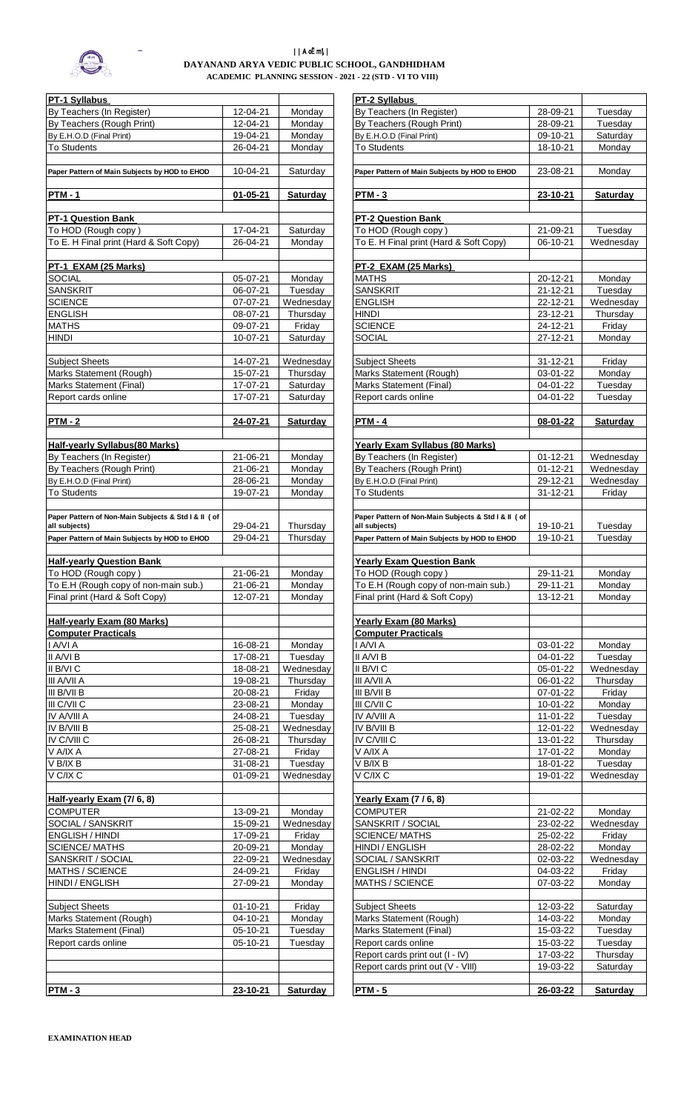

## ||AoËm\|| **DAYANAND ARYA VEDIC PUBLIC SCHOOL, GANDHIDHAM ACADEMIC PLANNING SESSION - 2021 - 22 (STD - VI TO VIII)**

| PT-1 Syllabus                                                         |                      |                      | PT-2 Syllabus                                                        |                      |                      |
|-----------------------------------------------------------------------|----------------------|----------------------|----------------------------------------------------------------------|----------------------|----------------------|
| By Teachers (In Register)                                             | 12-04-21             | Monday               | By Teachers (In Register)                                            | 28-09-21             | Tuesday              |
| By Teachers (Rough Print)                                             | 12-04-21             | Mondav               | By Teachers (Rough Print)                                            | 28-09-21             | Tuesday              |
| By E.H.O.D (Final Print)                                              | 19-04-21             | Monday               | By E.H.O.D (Final Print)                                             | 09-10-21             | Saturday             |
| <b>To Students</b>                                                    | 26-04-21             | Monday               | To Students                                                          | 18-10-21             | Monday               |
| Paper Pattern of Main Subjects by HOD to EHOD                         | 10-04-21             | Saturday             | Paper Pattern of Main Subjects by HOD to EHOD                        | 23-08-21             | Monday               |
| <b>PTM-1</b>                                                          | $01 - 05 - 21$       | <b>Saturday</b>      | $PTM - 3$                                                            | 23-10-21             | Saturday             |
|                                                                       |                      |                      |                                                                      |                      |                      |
| <b>PT-1 Question Bank</b>                                             |                      |                      | <b>PT-2 Question Bank</b>                                            |                      |                      |
| To HOD (Rough copy)                                                   | 17-04-21             | Saturday             | To HOD (Rough copy)                                                  | 21-09-21             | Tuesday              |
| To E. H Final print (Hard & Soft Copy)                                | 26-04-21             | Mondav               | To E. H Final print (Hard & Soft Copy)                               | 06-10-21             | Wednesda             |
| PT-1 EXAM (25 Marks)                                                  |                      |                      | PT-2 EXAM (25 Marks)                                                 |                      |                      |
| <b>SOCIAL</b>                                                         | 05-07-21             | Monday               | <b>MATHS</b>                                                         | 20-12-21             | Monday               |
| <b>SANSKRIT</b>                                                       | 06-07-21             | Tuesday              | <b>SANSKRIT</b>                                                      | $21 - 12 - 21$       | Tuesday              |
| <b>SCIENCE</b>                                                        | 07-07-21             | Wednesdav            | <b>ENGLISH</b>                                                       | 22-12-21             | Wednesda             |
| <b>ENGLISH</b>                                                        | 08-07-21             | Thursday             | <b>HINDI</b>                                                         | 23-12-21             | Thursday             |
| <b>MATHS</b>                                                          | 09-07-21             | Friday               | <b>SCIENCE</b>                                                       | 24-12-21             | Friday               |
| <b>HINDI</b>                                                          | 10-07-21             | Saturday             | <b>SOCIAL</b>                                                        | 27-12-21             | Monday               |
| <b>Subject Sheets</b>                                                 | 14-07-21             | Wednesdav            | <b>Subject Sheets</b>                                                | 31-12-21             | Friday               |
| Marks Statement (Rough)                                               | 15-07-21             | Thursday             | Marks Statement (Rough)                                              | 03-01-22             | Monday               |
| Marks Statement (Final)                                               | 17-07-21             | Saturday             | Marks Statement (Final)                                              | 04-01-22             | Tuesday              |
| Report cards online                                                   | 17-07-21             | Saturday             | Report cards online                                                  | 04-01-22             | Tuesday              |
| <b>PTM-2</b>                                                          | 24-07-21             | <b>Saturday</b>      | <b>PTM - 4</b>                                                       | 08-01-22             | <b>Saturday</b>      |
|                                                                       |                      |                      |                                                                      |                      |                      |
| <b>Half-yearly Syllabus(80 Marks)</b>                                 |                      |                      | Yearly Exam Syllabus (80 Marks)                                      |                      |                      |
| By Teachers (In Register)                                             | 21-06-21             | Monday               | By Teachers (In Register)                                            | $01 - 12 - 21$       | Wednesda             |
| By Teachers (Rough Print)                                             | 21-06-21             | Monday               | By Teachers (Rough Print)                                            | $01 - 12 - 21$       | Wednesda             |
| By E.H.O.D (Final Print)                                              | 28-06-21             | Monday               | By E.H.O.D (Final Print)                                             | 29-12-21             | Wednesda             |
| <b>To Students</b>                                                    | 19-07-21             | Monday               | <b>To Students</b>                                                   | $31 - 12 - 21$       | Friday               |
|                                                                       |                      |                      | Paper Pattern of Non-Main Subjects & Std I & II ( of                 |                      |                      |
| Paper Pattern of Non-Main Subjects & Std I & II ( of<br>all subjects) | 29-04-21             | Thursday             | all subjects)                                                        | 19-10-21             | Tuesday              |
| Paper Pattern of Main Subjects by HOD to EHOD                         | 29-04-21             | Thursday             | Paper Pattern of Main Subjects by HOD to EHOD                        | 19-10-21             | Tuesday              |
|                                                                       |                      |                      |                                                                      |                      |                      |
| <b>Half-yearly Question Bank</b>                                      |                      |                      | <b>Yearly Exam Question Bank</b>                                     |                      |                      |
| To HOD (Rough copy)                                                   | 21-06-21             | Monday               | To HOD (Rough copy)                                                  | 29-11-21             | Monday               |
| To E.H (Rough copy of non-main sub.)                                  | 21-06-21             | Monday               | To E.H (Rough copy of non-main sub.)                                 | 29-11-21             | Monday               |
| Final print (Hard & Soft Copy)                                        | 12-07-21             | Monday               | Final print (Hard & Soft Copy)                                       | 13-12-21             | Monday               |
| Half-yearly Exam (80 Marks)                                           |                      |                      | Yearly Exam (80 Marks)                                               |                      |                      |
| <b>Computer Practicals</b>                                            |                      |                      | <b>Computer Practicals</b>                                           |                      |                      |
| I A/VI A                                                              | 16-08-21             | Monday               | I A/VI A                                                             | $03 - 01 - 22$       | Monday               |
| II A/VI B                                                             | 17-08-21             | Tuesday              | II A/VI B                                                            | 04-01-22             | Tuesday              |
| II B/VI C                                                             | 18-08-21             | Wednesday            | II B/VI C                                                            | 05-01-22             | Wednesda             |
| III A/VII A                                                           | 19-08-21             | Thursday             | III A/VII A                                                          | 06-01-22             | Thursday             |
| III B/VII B                                                           | 20-08-21             | Friday               | III B/VII B                                                          | 07-01-22             | Friday               |
| III C/VII C                                                           | 23-08-21             | Monday               | III C/VII C                                                          | 10-01-22             | Monday               |
| IV A/VIII A<br>IV B/VIII B                                            | 24-08-21<br>25-08-21 | Tuesday<br>Wednesday | IV A/VIII A<br>IV B/VIII B                                           | 11-01-22<br>12-01-22 | Tuesday<br>Wednesda  |
| IV C/VIII C                                                           | 26-08-21             | Thursday             | IV C/VIII C                                                          | 13-01-22             | Thursday             |
| V A/IX A                                                              | 27-08-21             | Friday               | V A/IX A                                                             | 17-01-22             | Monday               |
| V B/IX B                                                              | 31-08-21             | Tuesday              | V B/IX B                                                             | 18-01-22             | Tuesday              |
| V C/IX C                                                              | 01-09-21             | Wednesday            | V C/IX C                                                             | 19-01-22             | Wednesda             |
|                                                                       |                      |                      |                                                                      |                      |                      |
| Half-yearly Exam (7/6, 8)                                             |                      |                      | Yearly Exam (7/6, 8)                                                 |                      |                      |
| <b>COMPUTER</b>                                                       | 13-09-21             | Monday               | <b>COMPUTER</b>                                                      | 21-02-22             | Monday               |
| SOCIAL / SANSKRIT                                                     | 15-09-21             | Wednesday            | SANSKRIT / SOCIAL                                                    | 23-02-22             | Wednesda             |
| <b>ENGLISH / HINDI</b>                                                | 17-09-21             | Friday               | <b>SCIENCE/MATHS</b>                                                 | 25-02-22             | Friday               |
| <b>SCIENCE/MATHS</b><br>SANSKRIT / SOCIAL                             | 20-09-21<br>22-09-21 | Monday<br>Wednesday  | HINDI / ENGLISH<br>SOCIAL / SANSKRIT                                 | 28-02-22<br>02-03-22 | Monday<br>Wednesda   |
| MATHS / SCIENCE                                                       | 24-09-21             | Friday               | ENGLISH / HINDI                                                      | 04-03-22             | Friday               |
| HINDI / ENGLISH                                                       | 27-09-21             | Monday               | MATHS / SCIENCE                                                      | 07-03-22             | Monday               |
|                                                                       |                      |                      |                                                                      |                      |                      |
| <b>Subject Sheets</b>                                                 | 01-10-21             | Friday               | <b>Subject Sheets</b>                                                | 12-03-22             | Saturday             |
| Marks Statement (Rough)                                               | 04-10-21             | Monday               | Marks Statement (Rough)                                              | 14-03-22             | Monday               |
| <b>Marks Statement (Final)</b>                                        | 05-10-21             | Tuesday              | Marks Statement (Final)                                              | 15-03-22             | Tuesday              |
| Report cards online                                                   | 05-10-21             | Tuesday              | Report cards online                                                  | 15-03-22             | Tuesday              |
|                                                                       |                      |                      | Report cards print out (I - IV)<br>Report cards print out (V - VIII) | 17-03-22<br>19-03-22 | Thursday<br>Saturday |
|                                                                       |                      |                      |                                                                      |                      |                      |
| $PTM - 3$                                                             | 23-10-21             | <b>Saturday</b>      | <b>PTM - 5</b>                                                       | 26-03-22             | Saturday             |

| PT-1 Syllabus                                                         |                      |                  | PT-2 Syllabus                                                         |                      |                   |
|-----------------------------------------------------------------------|----------------------|------------------|-----------------------------------------------------------------------|----------------------|-------------------|
| By Teachers (In Register)                                             | 12-04-21             | Monday           | By Teachers (In Register)                                             | 28-09-21             | Tuesday           |
| By Teachers (Rough Print)                                             | 12-04-21             | Mondav           | By Teachers (Rough Print)                                             | 28-09-21             | Tuesdav           |
| By E.H.O.D (Final Print)                                              | 19-04-21             | Monday           | By E.H.O.D (Final Print)                                              | 09-10-21             | Saturday          |
| To Students                                                           | 26-04-21             | Monday           | To Students                                                           | 18-10-21             | Monday            |
|                                                                       |                      |                  |                                                                       |                      |                   |
| Paper Pattern of Main Subjects by HOD to EHOD                         | 10-04-21             | Saturday         | Paper Pattern of Main Subjects by HOD to EHOD                         | 23-08-21             | Monday            |
| <u>PTM - 1</u>                                                        | $01 - 05 - 21$       | <b>Saturday</b>  | $PTM - 3$                                                             | 23-10-21             | <b>Saturday</b>   |
|                                                                       |                      |                  |                                                                       |                      |                   |
| <b>PT-1 Question Bank</b>                                             |                      |                  | PT-2 Question Bank                                                    |                      |                   |
| To HOD (Rough copy)                                                   | 17-04-21             | Saturday         | To HOD (Rough copy)                                                   | 21-09-21             | Tuesday           |
| To E. H Final print (Hard & Soft Copy)                                | 26-04-21             | Monday           | To E. H Final print (Hard & Soft Copy)                                | 06-10-21             | Wednesday         |
|                                                                       |                      |                  |                                                                       |                      |                   |
| PT-1 EXAM (25 Marks)<br><b>SOCIAL</b>                                 | 05-07-21             | Monday           | PT-2 EXAM (25 Marks)<br><b>MATHS</b>                                  | 20-12-21             | Monday            |
| <b>SANSKRIT</b>                                                       | 06-07-21             | Tuesday          | <b>SANSKRIT</b>                                                       | $21 - 12 - 21$       | Tuesday           |
| <b>SCIENCE</b>                                                        | 07-07-21             | Wednesday        | <b>ENGLISH</b>                                                        | 22-12-21             | Wednesday         |
| <b>ENGLISH</b>                                                        | 08-07-21             | Thursday         | <b>HINDI</b>                                                          | 23-12-21             | Thursday          |
| <b>MATHS</b>                                                          | 09-07-21             | Friday           | <b>SCIENCE</b>                                                        | 24-12-21             | Fridav            |
| HINDI                                                                 | 10-07-21             | Saturday         | <b>SOCIAL</b>                                                         | 27-12-21             | Monday            |
|                                                                       |                      |                  |                                                                       |                      |                   |
| <b>Subject Sheets</b>                                                 | 14-07-21             | Wednesdav        | <b>Subject Sheets</b>                                                 | $31 - 12 - 21$       | Friday            |
| Marks Statement (Rough)                                               | 15-07-21             | Thursday         | Marks Statement (Rough)                                               | 03-01-22             | Mondav            |
| Marks Statement (Final)                                               | 17-07-21             | Saturdav         | Marks Statement (Final)                                               | 04-01-22             | Tuesday           |
| Report cards online                                                   | 17-07-21             | Saturday         | Report cards online                                                   | 04-01-22             | Tuesday           |
|                                                                       |                      |                  |                                                                       |                      |                   |
| <u>PTM - 2</u>                                                        | 24-07-21             | <b>Saturday</b>  | <b>PTM - 4</b>                                                        | 08-01-22             | <b>Saturday</b>   |
| Half-yearly Syllabus(80 Marks)                                        |                      |                  | Yearly Exam Syllabus (80 Marks)                                       |                      |                   |
| By Teachers (In Register)                                             | 21-06-21             | Monday           | By Teachers (In Register)                                             | $01 - 12 - 21$       | Wednesday         |
| By Teachers (Rough Print)                                             | 21-06-21             | Monday           | By Teachers (Rough Print)                                             | $01 - 12 - 21$       | Wednesday         |
| By E.H.O.D (Final Print)                                              | 28-06-21             | Monday           | By E.H.O.D (Final Print)                                              | 29-12-21             | Wednesday         |
| <b>To Students</b>                                                    | 19-07-21             | Monday           | <b>To Students</b>                                                    | $31 - 12 - 21$       | Friday            |
|                                                                       |                      |                  |                                                                       |                      |                   |
| Paper Pattern of Non-Main Subjects & Std I & II ( of<br>all subjects) | 29-04-21             | Thursday         | Paper Pattern of Non-Main Subjects & Std I & II ( of<br>all subjects) | 19-10-21             | Tuesdav           |
| Paper Pattern of Main Subjects by HOD to EHOD                         | 29-04-21             | Thursday         | Paper Pattern of Main Subjects by HOD to EHOD                         | 19-10-21             | Tuesday           |
|                                                                       |                      |                  |                                                                       |                      |                   |
| <b>Half-yearly Question Bank</b>                                      |                      |                  | <b>Yearly Exam Question Bank</b>                                      |                      |                   |
| To HOD (Rough copy)                                                   | 21-06-21             | Monday           | To HOD (Rough copy)                                                   | 29-11-21             | Monday            |
| To E.H (Rough copy of non-main sub.)                                  | 21-06-21             | Monday           | To E.H (Rough copy of non-main sub.)                                  | 29-11-21             | Monday            |
| Final print (Hard & Soft Copy)                                        | 12-07-21             | Monday           | Final print (Hard & Soft Copy)                                        | 13-12-21             | Monday            |
|                                                                       |                      |                  |                                                                       |                      |                   |
| Half-yearly Exam (80 Marks)                                           |                      |                  | Yearly Exam (80 Marks)                                                |                      |                   |
| <b>Computer Practicals</b>                                            |                      |                  | <b>Computer Practicals</b>                                            |                      |                   |
| I A/VI A                                                              | 16-08-21             | Monday           | I A/VI A                                                              | 03-01-22             | Monday            |
| II A/VI B                                                             | 17-08-21             | Tuesday          | II A/VI B                                                             | 04-01-22             | Tuesday           |
| II B/VI C                                                             | 18-08-21             | Wednesday        | II B/VI C                                                             | $05 - 01 - 22$       | Wednesday         |
| III A/VII A                                                           | 19-08-21             | Thursday         | III A/VII A                                                           | 06-01-22             | Thursday          |
| III B/VII B                                                           | 20-08-21             | Friday<br>Monday | III B/VII B                                                           | 07-01-22             | Friday            |
| III C/VII C<br>IV A/VIII A                                            | 23-08-21<br>24-08-21 | Tuesday          | III C/VII C<br>IV A/VIII A                                            | 10-01-22             | Monday<br>Tuesday |
| IV B/VIII B                                                           | 25-08-21             | Wednesday        | IV B/VIII B                                                           | 11-01-22<br>12-01-22 | Wednesday         |
| IV C/VIII C                                                           | 26-08-21             | Thursday         | IV C/VIII C                                                           | 13-01-22             | Thursday          |
| V A/IX A                                                              | 27-08-21             | Friday           | V A/IX A                                                              | 17-01-22             | Monday            |
| V B/IX B                                                              | 31-08-21             | Tuesday          | V B/IX B                                                              | 18-01-22             | Tuesday           |
| V C/IX C                                                              | 01-09-21             | Wednesday        | V C/IX C                                                              | 19-01-22             | Wednesday         |
|                                                                       |                      |                  |                                                                       |                      |                   |
| Half-yearly Exam (7/6, 8)                                             |                      |                  | Yearly Exam (7/6, 8)                                                  |                      |                   |
| <b>COMPUTER</b>                                                       | 13-09-21             | Monday           | <b>COMPUTER</b>                                                       | 21-02-22             | Monday            |
| SOCIAL / SANSKRIT                                                     | 15-09-21             | Wednesday        | SANSKRIT / SOCIAL                                                     | 23-02-22             | Wednesday         |
| ENGLISH / HINDI                                                       | 17-09-21             | Friday           | <b>SCIENCE/MATHS</b>                                                  | 25-02-22             | Friday            |
| <b>SCIENCE/MATHS</b>                                                  | 20-09-21             | Monday           | HINDI / ENGLISH                                                       | 28-02-22             | Monday            |
| SANSKRIT / SOCIAL                                                     | 22-09-21             | Wednesday        | SOCIAL / SANSKRIT                                                     | 02-03-22             | Wednesday         |
| MATHS / SCIENCE                                                       | 24-09-21             | Friday           | ENGLISH / HINDI                                                       | 04-03-22             | Friday            |
| HINDI / ENGLISH                                                       | 27-09-21             | Monday           | <b>MATHS / SCIENCE</b>                                                | 07-03-22             | Monday            |
| Subject Sheets                                                        | 01-10-21             | Friday           | <b>Subject Sheets</b>                                                 | 12-03-22             | Saturday          |
| Marks Statement (Rough)                                               | 04-10-21             | Monday           | Marks Statement (Rough)                                               | 14-03-22             | Monday            |
| Marks Statement (Final)                                               | 05-10-21             | Tuesday          | Marks Statement (Final)                                               | 15-03-22             | Tuesday           |
| Report cards online                                                   | 05-10-21             | Tuesday          | Report cards online                                                   | 15-03-22             | Tuesday           |
|                                                                       |                      |                  | Report cards print out (I - IV)                                       | 17-03-22             | Thursday          |
|                                                                       |                      |                  | Report cards print out (V - VIII)                                     | 19-03-22             | Saturday          |
| <u>PTM - 3</u>                                                        |                      | <b>Saturday</b>  | $PTM - 5$                                                             |                      |                   |
|                                                                       | 23-10-21             |                  |                                                                       | 26-03-22             | <b>Saturday</b>   |